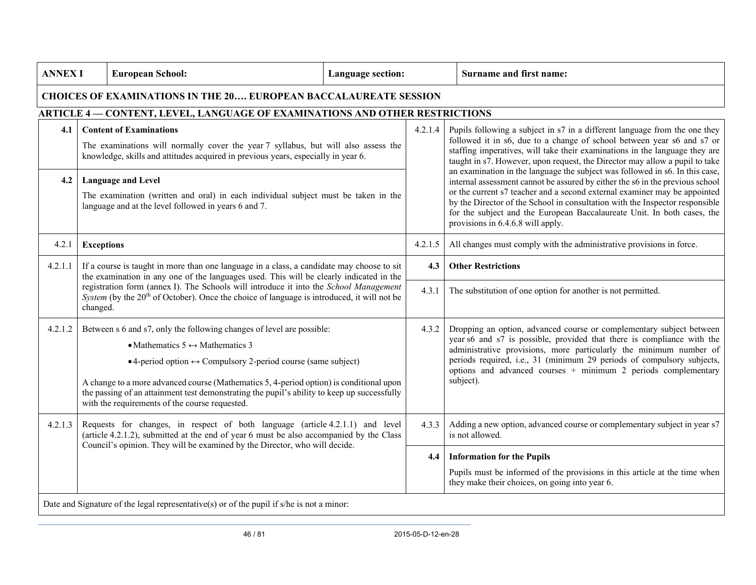| <b>ANNEX I</b>                                                                              |                                                                                                                                                                                                                                                        | <b>European School:</b>                                                                                                                                                                                                                                                                                                                                                                                                                               | <b>Language section:</b> |         | Surname and first name:                                                                                                                                                                                                                                                                                                                                                                                                                                                                                                                                                                                                                                                                                                                                          |  |  |  |  |  |  |  |  |
|---------------------------------------------------------------------------------------------|--------------------------------------------------------------------------------------------------------------------------------------------------------------------------------------------------------------------------------------------------------|-------------------------------------------------------------------------------------------------------------------------------------------------------------------------------------------------------------------------------------------------------------------------------------------------------------------------------------------------------------------------------------------------------------------------------------------------------|--------------------------|---------|------------------------------------------------------------------------------------------------------------------------------------------------------------------------------------------------------------------------------------------------------------------------------------------------------------------------------------------------------------------------------------------------------------------------------------------------------------------------------------------------------------------------------------------------------------------------------------------------------------------------------------------------------------------------------------------------------------------------------------------------------------------|--|--|--|--|--|--|--|--|
| <b>CHOICES OF EXAMINATIONS IN THE 20 EUROPEAN BACCALAUREATE SESSION</b>                     |                                                                                                                                                                                                                                                        |                                                                                                                                                                                                                                                                                                                                                                                                                                                       |                          |         |                                                                                                                                                                                                                                                                                                                                                                                                                                                                                                                                                                                                                                                                                                                                                                  |  |  |  |  |  |  |  |  |
| <b>CONTENT, LEVEL, LANGUAGE OF EXAMINATIONS AND OTHER RESTRICTIONS</b><br><b>ARTICLE 4-</b> |                                                                                                                                                                                                                                                        |                                                                                                                                                                                                                                                                                                                                                                                                                                                       |                          |         |                                                                                                                                                                                                                                                                                                                                                                                                                                                                                                                                                                                                                                                                                                                                                                  |  |  |  |  |  |  |  |  |
| 4.1                                                                                         |                                                                                                                                                                                                                                                        | <b>Content of Examinations</b><br>The examinations will normally cover the year 7 syllabus, but will also assess the<br>knowledge, skills and attitudes acquired in previous years, especially in year 6.                                                                                                                                                                                                                                             |                          | 4.2.1.4 | Pupils following a subject in s7 in a different language from the one they<br>followed it in s6, due to a change of school between year s6 and s7 or<br>staffing imperatives, will take their examinations in the language they are<br>taught in s7. However, upon request, the Director may allow a pupil to take<br>an examination in the language the subject was followed in s6. In this case,<br>internal assessment cannot be assured by either the s6 in the previous school<br>or the current s7 teacher and a second external examiner may be appointed<br>by the Director of the School in consultation with the Inspector responsible<br>for the subject and the European Baccalaureate Unit. In both cases, the<br>provisions in 6.4.6.8 will apply. |  |  |  |  |  |  |  |  |
| 4.2                                                                                         |                                                                                                                                                                                                                                                        | <b>Language and Level</b><br>The examination (written and oral) in each individual subject must be taken in the<br>language and at the level followed in years 6 and 7.                                                                                                                                                                                                                                                                               |                          |         |                                                                                                                                                                                                                                                                                                                                                                                                                                                                                                                                                                                                                                                                                                                                                                  |  |  |  |  |  |  |  |  |
| 4.2.1                                                                                       | <b>Exceptions</b>                                                                                                                                                                                                                                      |                                                                                                                                                                                                                                                                                                                                                                                                                                                       |                          | 4.2.1.5 | All changes must comply with the administrative provisions in force.                                                                                                                                                                                                                                                                                                                                                                                                                                                                                                                                                                                                                                                                                             |  |  |  |  |  |  |  |  |
| 4.2.1.1                                                                                     | If a course is taught in more than one language in a class, a candidate may choose to sit<br>the examination in any one of the languages used. This will be clearly indicated in the                                                                   |                                                                                                                                                                                                                                                                                                                                                                                                                                                       |                          |         | <b>Other Restrictions</b>                                                                                                                                                                                                                                                                                                                                                                                                                                                                                                                                                                                                                                                                                                                                        |  |  |  |  |  |  |  |  |
|                                                                                             | changed.                                                                                                                                                                                                                                               | registration form (annex I). The Schools will introduce it into the School Management<br>System (by the 20 <sup>th</sup> of October). Once the choice of language is introduced, it will not be                                                                                                                                                                                                                                                       |                          | 4.3.1   | The substitution of one option for another is not permitted.                                                                                                                                                                                                                                                                                                                                                                                                                                                                                                                                                                                                                                                                                                     |  |  |  |  |  |  |  |  |
| 4.2.1.2                                                                                     |                                                                                                                                                                                                                                                        | Between s 6 and s7, only the following changes of level are possible:<br>• Mathematics $5 \leftrightarrow$ Mathematics 3<br>• 4-period option $\leftrightarrow$ Compulsory 2-period course (same subject)<br>A change to a more advanced course (Mathematics 5, 4-period option) is conditional upon<br>the passing of an attainment test demonstrating the pupil's ability to keep up successfully<br>with the requirements of the course requested. |                          | 4.3.2   | Dropping an option, advanced course or complementary subject between<br>year s6 and s7 is possible, provided that there is compliance with the<br>administrative provisions, more particularly the minimum number of<br>periods required, i.e., 31 (minimum 29 periods of compulsory subjects,<br>options and advanced courses $+$ minimum 2 periods complementary<br>subject).                                                                                                                                                                                                                                                                                                                                                                                  |  |  |  |  |  |  |  |  |
| 4.2.1.3                                                                                     | Requests for changes, in respect of both language (article 4.2.1.1) and level<br>(article 4.2.1.2), submitted at the end of year 6 must be also accompanied by the Class<br>Council's opinion. They will be examined by the Director, who will decide. |                                                                                                                                                                                                                                                                                                                                                                                                                                                       |                          | 4.3.3   | Adding a new option, advanced course or complementary subject in year s7<br>is not allowed.                                                                                                                                                                                                                                                                                                                                                                                                                                                                                                                                                                                                                                                                      |  |  |  |  |  |  |  |  |
|                                                                                             |                                                                                                                                                                                                                                                        |                                                                                                                                                                                                                                                                                                                                                                                                                                                       |                          |         | <b>Information for the Pupils</b>                                                                                                                                                                                                                                                                                                                                                                                                                                                                                                                                                                                                                                                                                                                                |  |  |  |  |  |  |  |  |
|                                                                                             |                                                                                                                                                                                                                                                        |                                                                                                                                                                                                                                                                                                                                                                                                                                                       |                          |         | Pupils must be informed of the provisions in this article at the time when<br>they make their choices, on going into year 6.                                                                                                                                                                                                                                                                                                                                                                                                                                                                                                                                                                                                                                     |  |  |  |  |  |  |  |  |
|                                                                                             | Date and Signature of the legal representative(s) or of the pupil if $s$ /he is not a minor:                                                                                                                                                           |                                                                                                                                                                                                                                                                                                                                                                                                                                                       |                          |         |                                                                                                                                                                                                                                                                                                                                                                                                                                                                                                                                                                                                                                                                                                                                                                  |  |  |  |  |  |  |  |  |